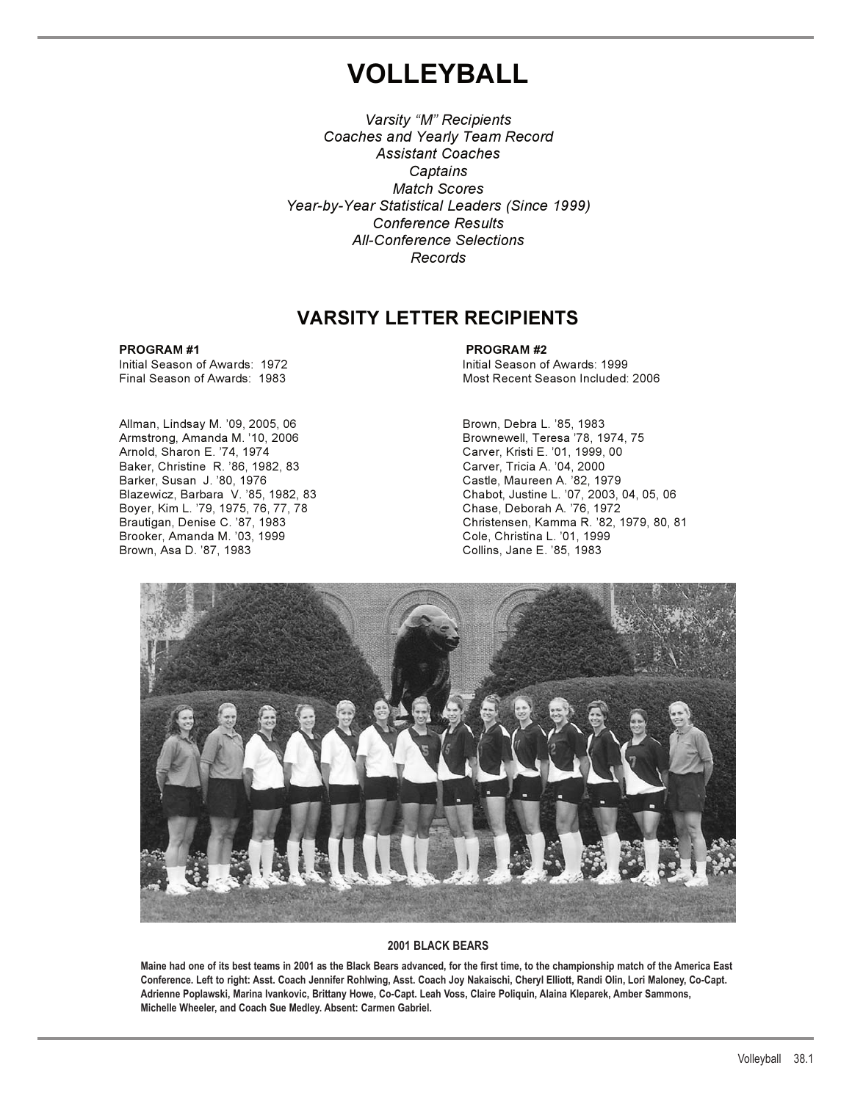# **VOLLEYBALL**

*Varsity "M" Recipients Coaches and Yearly Team Record Assistant Coaches Captains Match Scores Year-by-Year Statistical Leaders (Since 1999) Conference Results All-Conference Selections Records*

## **VARSITY LETTER RECIPIENTS**

Initial Season of Awards: 1972

Allman, Lindsay M. '09, 2005, 06 **Brown, Debra L. '85, 1983** Armstrong, Amanda M. '10, 2006 Brownewell, Teresa '78, 1974, 75 Baker, Christine R. '86, 1982, 83 Carver, Tricia A. '04, 2000 Barker, Susan J. '80, 1976 Castle, Maureen A. '82, 1979 Boyer, Kim L. '79, 1975, 76, 77, 78 Chase, Deborah A. '76, 1972 Brooker, Amanda M. '03, 1999 Cole, Christina L. '01, 1999 Brown, Asa D. '87, 1983

**PROGRAM #1 PROGRAM #2** Final Season of Awards: 1983 Most Recent Season Included: 2006

> Carver, Kristi E. '01, 1999, 00 Chabot, Justine L. '07, 2003, 04, 05, 06 Christensen, Kamma R. '82, 1979, 80, 81



#### **2001 BLACK BEARS**

**Maine had one of its best teams in 2001 as the Black Bears advanced, for the first time, to the championship match of the America East Conference. Left to right: Asst. Coach Jennifer Rohlwing, Asst. Coach Joy Nakaischi, Cheryl Elliott, Randi Olin, Lori Maloney, Co-Capt. Adrienne Poplawski, Marina Ivankovic, Brittany Howe, Co-Capt. Leah Voss, Claire Poliquin, Alaina Kleparek, Amber Sammons, Michelle Wheeler, and Coach Sue Medley. Absent: Carmen Gabriel.**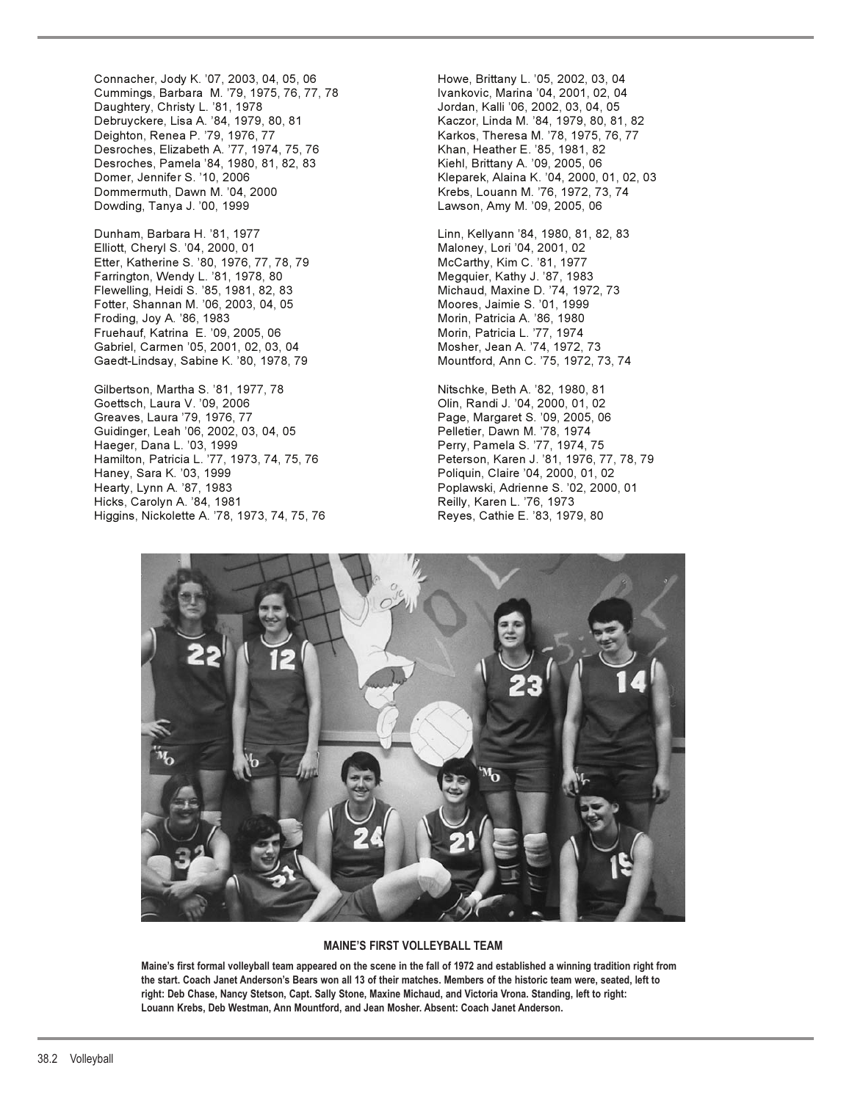Connacher, Jody K. '07, 2003, 04, 05, 06 Howe, Brittany L. '05, 2002, 03, 04<br>Cummings, Barbara M. '79, 1975, 76, 77, 78 Ivankovic, Marina '04, 2001, 02, 04 Cummings, Barbara M. '79, 1975, 76, 77, 78 Daughtery, Christy L. '81, 1978 Jordan, Kalli '06, 2002, 03, 04, 05 Deighton, Renea P. '79, 1976, 77 Karkos, Theresa M. '78, 1975, 76, 77 Desroches, Elizabeth A. '77, 1974, 75, 76 Khan, Heather E. '85, 1981, 82 Desroches, Pamela '84, 1980, 81, 82, 83 Kiehl, Brittany A. '09, 2005, 06 Domer, Jennifer S. '10, 2006 Kleparek, Alaina K. '04, 2000, 01, 02, 03 Dowding, Tanya J. '00, 1999 **Lawson, Amy M. '09, 2005, 06** 

Dunham, Barbara H. '81, 1977 Linn, Kellyann '84, 1980, 81, 82, 83 Elliott, Cheryl S. '04, 2000, 01 Maloney, Lori '04, 2001, 02 Etter, Katherine S. '80, 1976, 77, 78, 79 McCarthy, Kim C. '81, 1977 Farrington, Wendy L. '81, 1978, 80 Flewelling, Heidi S. '85, 1981, 82, 83 Michaud, Maxine D. '74, 1972, 73 Fotter, Shannan M. '06, 2003, 04, 05 Froding, Joy A. '86, 1983 **Mortan A. 1980** Morin, Patricia A. '86, 1980 Fruehauf, Katrina E. '09, 2005, 06 Morin, Patricia L. '77, 1974 Gabriel, Carmen '05, 2001, 02, 03, 04 Mosher, Jean A. '74, 1972, 73 Gaedt-Lindsay, Sabine K. '80, 1978, 79

Gilbertson, Martha S. '81, 1977, 78 Nitschke, Beth A. '82, 1980, 81 Goettsch, Laura V. '09, 2006 **Communication** Clin, Randi J. '04, 2000, 01, 02 Greaves, Laura '79, 1976, 77 **Page, Page, Margaret S. '09, 2005, 06** Guidinger, Leah '06, 2002, 03, 04, 05 Pelletier, Dawn M. '78, 1974 Hamilton, Patricia L. '77, 1973, 74, 75, 76 Peterson, Karen J. '81, 1976, 77, 78, 79 Haney, Sara K. '03, 1999 **Poliquin, Claire '04, 2000, 01, 02** Hearty, Lynn A. '87, 1983 Poplawski, Adrienne S. '02, 2000, 01 Hicks, Carolyn A. '84, 1981 Reilly, Karen L. '76, 1973 Higgins, Nickolette A. '78, 1973, 74, 75, 76 Reyes, Cathie E. '83, 1979, 80

Kaczor, Linda M. '84, 1979, 80, 81, 82 Krebs, Louann M. '76, 1972, 73, 74

Perry, Pamela S. '77, 1974, 75



#### **MAINE'S FIRST VOLLEYBALL TEAM**

**Maine's first formal volleyball team appeared on the scene in the fall of 1972 and established a winning tradition right from the start. Coach Janet Anderson's Bears won all 13 of their matches. Members of the historic team were, seated, left to right: Deb Chase, Nancy Stetson, Capt. Sally Stone, Maxine Michaud, and Victoria Vrona. Standing, left to right: Louann Krebs, Deb Westman, Ann Mountford, and Jean Mosher. Absent: Coach Janet Anderson.**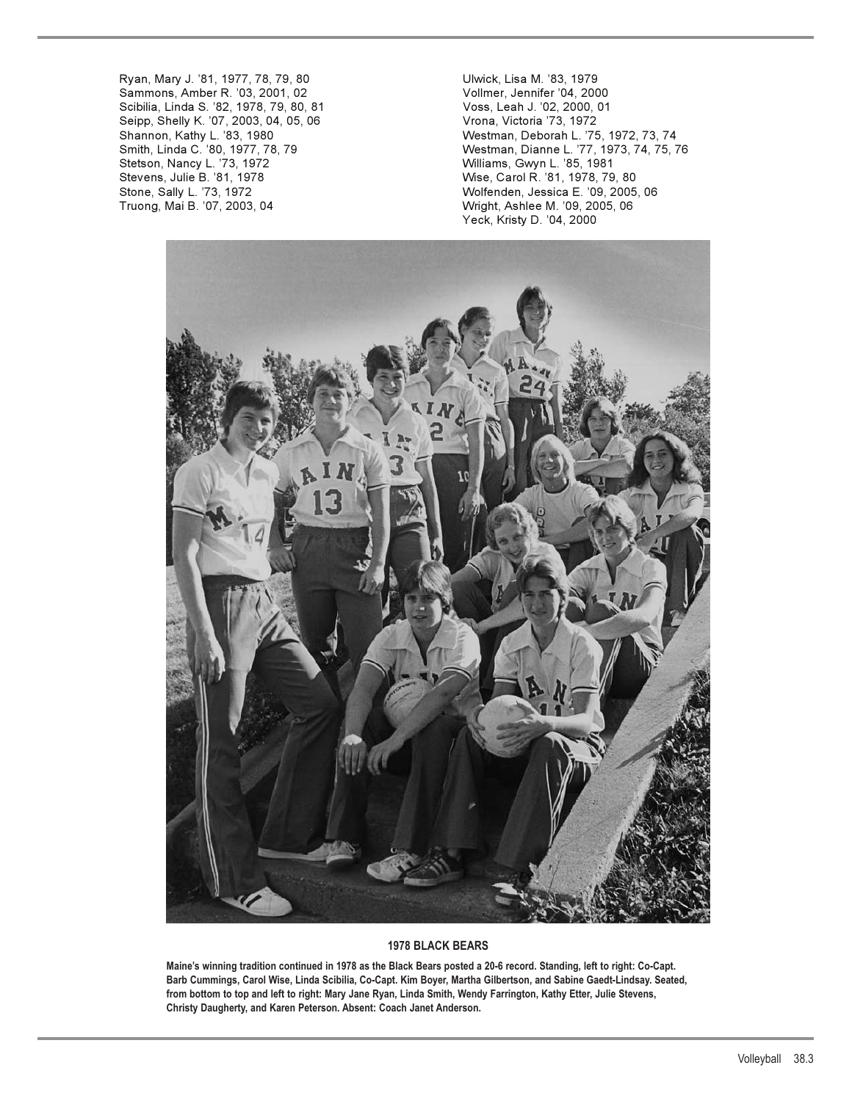Ryan, Mary J. '81, 1977, 78, 79, 80 Ulwick, Lisa M. '83, 1979 Sammons, Amber R. '03, 2001, 02 Vollmer, Jennifer '04, 2000 Scibilia, Linda S. '82, 1978, 79, 80, 81 Voss, Leah J. '02, 2000, 01 Seipp, Shelly K. '07, 2003, 04, 05, 06 Stetson, Nancy L. '73, 1972 Williams, Gwyn L. '85, 1981 Stevens, Julie B. '81, 1978 Wise, Carol R. '81, 1978, 79, 80

Shannon, Kathy L. '83, 1980 Westman, Deborah L. '75, 1972, 73, 74 Smith, Linda C. '80, 1977, 78, 79 Westman, Dianne L. '77, 1973, 74, 75, 76 Stone, Sally L. '73, 1972 Wolfenden, Jessica E. '09, 2005, 06 Wright, Ashlee M. '09, 2005, 06 Yeck, Kristy D. '04, 2000



#### **1978 BLACK BEARS**

**Maine's winning tradition continued in 1978 as the Black Bears posted a 20-6 record. Standing, left to right: Co-Capt. Barb Cummings, Carol Wise, Linda Scibilia, Co-Capt. Kim Boyer, Martha Gilbertson, and Sabine Gaedt-Lindsay. Seated, from bottom to top and left to right: Mary Jane Ryan, Linda Smith, Wendy Farrington, Kathy Etter, Julie Stevens, Christy Daugherty, and Karen Peterson. Absent: Coach Janet Anderson.**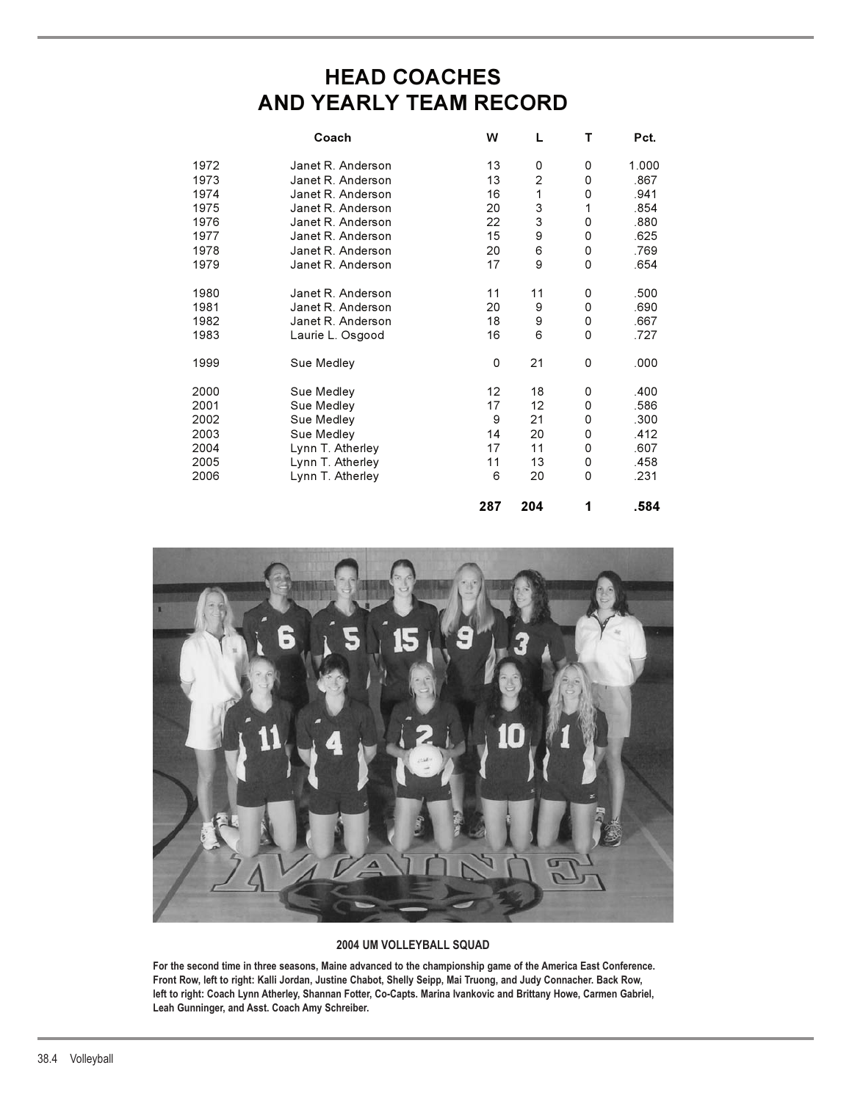# **HEAD COACHES AND YEARLY TEAM RECORD**

|      | Coach             | w                 | L              | т           | Pct.  |
|------|-------------------|-------------------|----------------|-------------|-------|
| 1972 | Janet R. Anderson | 13                | 0              | 0           | 1.000 |
| 1973 | Janet R. Anderson | 13                | $\overline{c}$ | 0           | .867  |
| 1974 | Janet R. Anderson | 16                | 1              | 0           | .941  |
| 1975 | Janet R. Anderson | 20                | 3              | 1           | .854  |
| 1976 | Janet R. Anderson | 22                | 3              | 0           | .880  |
| 1977 | Janet R. Anderson | 15                | 9              | 0           | .625  |
| 1978 | Janet R. Anderson | 20                | 6              | 0           | .769  |
| 1979 | Janet R. Anderson | 17                | 9              | 0           | .654  |
| 1980 | Janet R. Anderson | 11                | 11             | 0           | .500  |
| 1981 | Janet R. Anderson | 20                | 9              | 0           | .690  |
| 1982 | Janet R. Anderson | 18                | 9              | 0           | .667  |
| 1983 | Laurie L. Osgood  | 16                | 6              | 0           | .727  |
| 1999 | Sue Medley        | 0                 | 21             | 0           | .000  |
| 2000 | Sue Medley        | $12 \overline{ }$ | 18             | 0           | .400  |
| 2001 | Sue Medley        | 17                | 12             | 0           | .586  |
| 2002 | Sue Medley        | 9                 | 21             | 0           | .300  |
| 2003 | Sue Medley        | 14                | 20             | 0           | .412  |
| 2004 | Lynn T. Atherley  | 17                | 11             | 0           | .607  |
| 2005 | Lynn T. Atherley  | 11                | 13             | 0           | .458  |
| 2006 | Lynn T. Atherley  | 6                 | 20             | $\mathbf 0$ | .231  |
|      |                   | 287               | 204            | 1           | .584  |



### **2004 UM VOLLEYBALL SQUAD**

**For the second time in three seasons, Maine advanced to the championship game of the America East Conference. Front Row, left to right: Kalli Jordan, Justine Chabot, Shelly Seipp, Mai Truong, and Judy Connacher. Back Row, left to right: Coach Lynn Atherley, Shannan Fotter, Co-Capts. Marina Ivankovic and Brittany Howe, Carmen Gabriel, Leah Gunninger, and Asst. Coach Amy Schreiber.**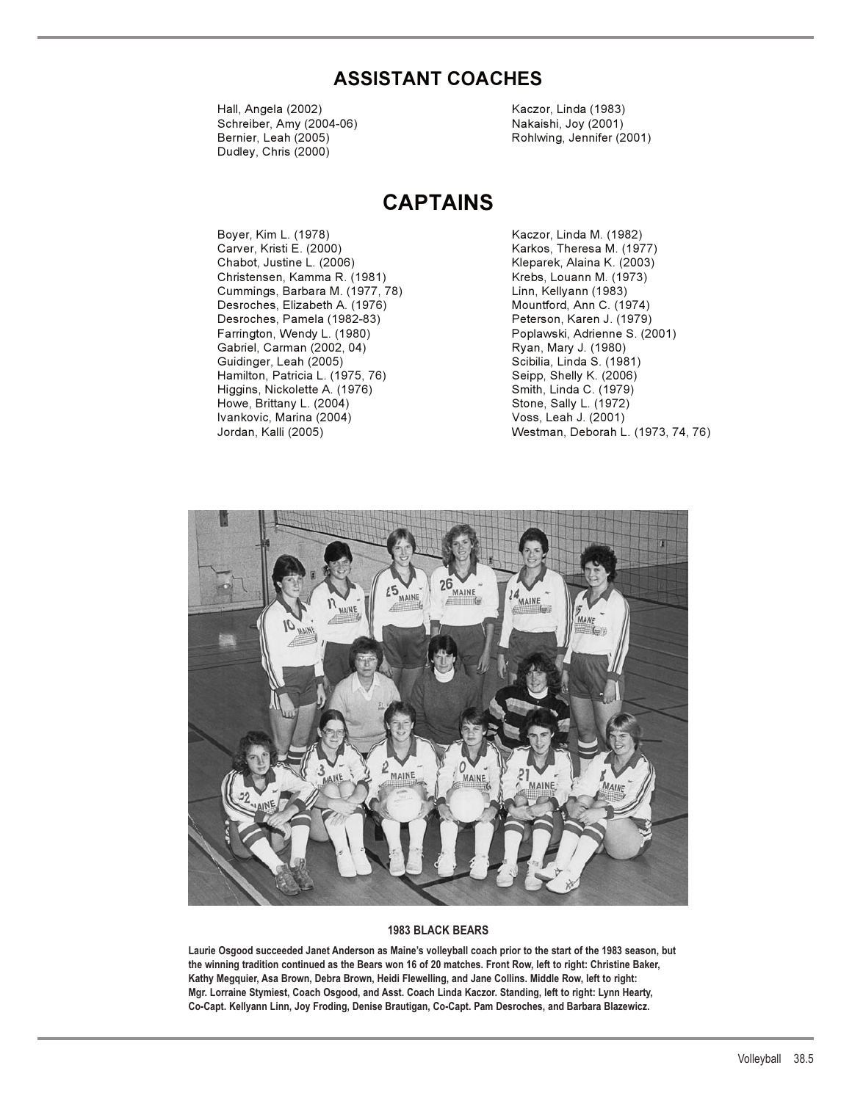## **ASSISTANT COACHES**

Hall, Angela (2002) Kaczor, Linda (1983) Schreiber, Amy (2004-06) Nakaishi, Joy (2001) Bernier, Leah (2005) Rohlwing, Jennifer (2001) Dudley, Chris (2000)

# **CAPTAINS**

Boyer, Kim L. (1978) Kaczor, Linda M. (1982) Carver, Kristi E. (2000) Carver, Kristi E. (2000) Chabot, Justine L. (2006) Kleparek, Alaina K. (2003) Christensen, Kamma R. (1981) Krebs, Louann M. (1973) Cummings, Barbara M. (1977, 78) Desroches, Elizabeth A. (1976) Mountford, Ann C. (1974) Desroches, Pamela (1982-83) Farrington, Wendy L. (1980) Poplawski, Adrienne S. (2001) Gabriel, Carman (2002, 04) Ryan, Mary J. (1980) Guidinger, Leah (2005)<br>Hamilton, Patricia L. (1975, 76) Seipp, Shelly K. (2006) Hamilton, Patricia L. (1975, 76) Higgins, Nickolette A. (1976) Smith, Linda C. (1979)<br>Howe, Brittany L. (2004) Stone, Sally L. (1972) Howe, Brittany L. (2004) Ivankovic, Marina (2004) Voss, Leah J. (2001)

Westman, Deborah L. (1973, 74, 76)



#### **1983 BLACK BEARS**

**Laurie Osgood succeeded Janet Anderson as Maine's volleyball coach prior to the start of the 1983 season, but the winning tradition continued as the Bears won 16 of 20 matches. Front Row, left to right: Christine Baker, Kathy Megquier, Asa Brown, Debra Brown, Heidi Flewelling, and Jane Collins. Middle Row, left to right: Mgr. Lorraine Stymiest, Coach Osgood, and Asst. Coach Linda Kaczor. Standing, left to right: Lynn Hearty, Co-Capt. Kellyann Linn, Joy Froding, Denise Brautigan, Co-Capt. Pam Desroches, and Barbara Blazewicz.**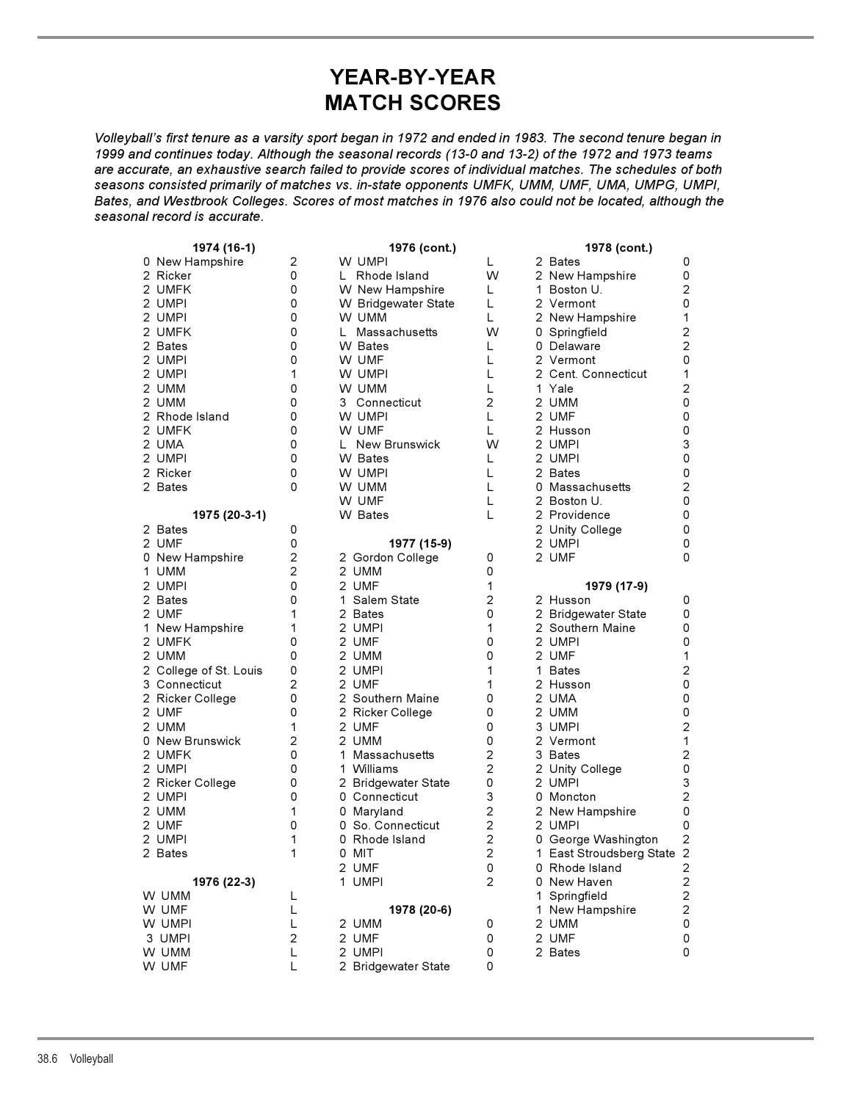# **YEAR-BY-YEAR MATCH SCORES**

*Volleyball's first tenure as a varsity sport began in 1972 and ended in 1983. The second tenure began in 1999 and continues today. Although the seasonal records (13-0 and 13-2) of the 1972 and 1973 teams are accurate, an exhaustive search failed to provide scores of individual matches. The schedules of both seasons consisted primarily of matches vs. in-state opponents UMFK, UMM, UMF, UMA, UMPG, UMPI, Bates, and Westbrook Colleges. Scores of most matches in 1976 also could not be located, although the seasonal record is accurate.*

| 1974 (16-1)            |                | 1976 (cont.)        | 1978 (cont.)                     |  |                                  |                                                    |
|------------------------|----------------|---------------------|----------------------------------|--|----------------------------------|----------------------------------------------------|
| 0 New Hampshire        | 2              | W UMPI              | L                                |  | 2 Bates                          | 0                                                  |
| 2 Ricker               | 0              | L Rhode Island      | W                                |  | 2 New Hampshire                  | 0                                                  |
| 2 UMFK                 | 0              | W New Hampshire     | L                                |  | 1 Boston U.                      | $\overline{c}$                                     |
| 2 UMPI                 | 0              | W Bridgewater State | L                                |  | 2 Vermont                        | 0                                                  |
| 2 UMPI                 | 0              | W UMM               | L                                |  | 2 New Hampshire                  | 1                                                  |
| 2 UMFK                 | 0              | L Massachusetts     | W                                |  | 0 Springfield                    | $\mathbf 2$                                        |
| 2 Bates                | 0              | W Bates             | L                                |  | 0 Delaware                       | $\overline{c}$                                     |
| 2 UMPI                 | 0              | W UMF               | L                                |  | 2 Vermont                        | 0                                                  |
| 2 UMPI                 | 1              | W UMPI              | L                                |  | 2 Cent. Connecticut              | $\mathbf 1$                                        |
| 2 UMM                  | 0              | W UMM               | L                                |  | 1 Yale                           | $\mathbf 2$                                        |
| 2 UMM                  | 0              | 3 Connecticut       | $\overline{c}$                   |  | 2 UMM                            | 0                                                  |
| 2 Rhode Island         | 0              | W UMPI              | L                                |  | 2 UMF                            | 0                                                  |
| 2 UMFK                 | 0              | W UMF               | L                                |  | 2 Husson                         | 0                                                  |
| 2 UMA                  | 0              | L New Brunswick     | W                                |  | 2 UMPI                           | 3                                                  |
| 2 UMPI                 | 0              | W Bates             | L                                |  | 2 UMPI                           | 0                                                  |
| 2 Ricker               | 0              | W UMPI              | L                                |  | 2 Bates                          | 0                                                  |
| 2 Bates                | 0              | W UMM               | L                                |  | 0 Massachusetts                  | $\mathbf{2}$                                       |
|                        |                | W UMF               | L                                |  | 2 Boston U.                      | 0                                                  |
| 1975 (20-3-1)          |                | W Bates             | L                                |  | 2 Providence                     | 0                                                  |
| 2 Bates                | 0              |                     |                                  |  | 2 Unity College                  | 0                                                  |
| 2 UMF                  | 0              | 1977 (15-9)         |                                  |  | 2 UMPI                           | 0                                                  |
| 0 New Hampshire        | $\overline{c}$ | 2 Gordon College    | 0                                |  | 2 UMF                            | 0                                                  |
| 1 UMM                  | $\overline{2}$ | 2 UMM               | 0                                |  |                                  |                                                    |
| 2 UMPI                 | 0              | 2 UMF               | 1                                |  | 1979 (17-9)                      |                                                    |
| 2 Bates                | 0              | 1 Salem State       | $\overline{c}$                   |  | 2 Husson                         | 0                                                  |
| 2 UMF                  | 1              | 2 Bates             | 0                                |  | 2 Bridgewater State              | 0                                                  |
| 1 New Hampshire        | 1              | 2 UMPI              | 1                                |  | 2 Southern Maine                 | 0                                                  |
| 2 UMFK                 | 0              | 2 UMF               | 0                                |  | 2 UMPI                           | 0                                                  |
| 2 UMM                  | 0              | 2 UMM               | 0                                |  | 2 UMF                            | $\mathbf{1}$                                       |
| 2 College of St. Louis | 0              | 2 UMPI              | 1                                |  | 1 Bates                          | $\overline{c}$                                     |
| 3 Connecticut          | $\overline{2}$ | 2 UMF               | 1                                |  | 2 Husson                         | 0                                                  |
| 2 Ricker College       | 0              | 2 Southern Maine    | 0                                |  | 2 UMA                            | 0                                                  |
| 2 UMF                  | 0              | 2 Ricker College    | 0                                |  | 2 UMM                            | 0                                                  |
| 2 UMM                  | 1              | 2 UMF               | 0                                |  | 3 UMPI                           | $\overline{c}$                                     |
| 0 New Brunswick        | $\overline{c}$ | 2 UMM               | 0                                |  | 2 Vermont                        | $\mathbf{1}$                                       |
| 2 UMFK                 | 0              | 1 Massachusetts     | $\overline{c}$                   |  | 3 Bates                          | $\overline{c}$                                     |
| 2 UMPI                 | 0              | 1 Williams          | $\overline{c}$                   |  | 2 Unity College                  | 0                                                  |
| 2 Ricker College       | 0              | 2 Bridgewater State | 0<br>3                           |  | 2 UMPI                           | 3                                                  |
| 2 UMPI                 | 0              | 0 Connecticut       |                                  |  | 0 Moncton                        | $\mathbf 2$                                        |
| 2 UMM                  | 1              | 0 Maryland          | $\overline{c}$                   |  | 2 New Hampshire                  | 0                                                  |
| 2 UMF                  | 0              | 0 So. Connecticut   | $\overline{c}$                   |  | 2 UMPI                           | 0                                                  |
| 2 UMPI                 | 1<br>1         | 0 Rhode Island      | $\overline{c}$<br>$\overline{2}$ |  | 0 George Washington              | $\overline{c}$                                     |
| 2 Bates                |                | 0 MIT               |                                  |  | 1 East Stroudsberg State 2       |                                                    |
|                        |                | 2 UMF               | 0<br>$\overline{c}$              |  | 0 Rhode Island                   | 2                                                  |
| 1976 (22-3)            |                | 1 UMPI              |                                  |  | 0 New Haven                      | $\mathbf 2$                                        |
| W UMM                  | L<br>L         | 1978 (20-6)         |                                  |  | 1 Springfield<br>1 New Hampshire | $\overline{\mathbf{c}}$<br>$\overline{\mathbf{c}}$ |
| W UMF<br>W UMPI        | L              | 2 UMM               | 0                                |  | 2 UMM                            | $\pmb{0}$                                          |
| 3 UMPI                 | $\overline{c}$ | 2 UMF               | 0                                |  | 2 UMF                            | 0                                                  |
| W UMM                  | L              | 2 UMPI              | 0                                |  | 2 Bates                          | 0                                                  |
| W UMF                  | L              | 2 Bridgewater State | 0                                |  |                                  |                                                    |
|                        |                |                     |                                  |  |                                  |                                                    |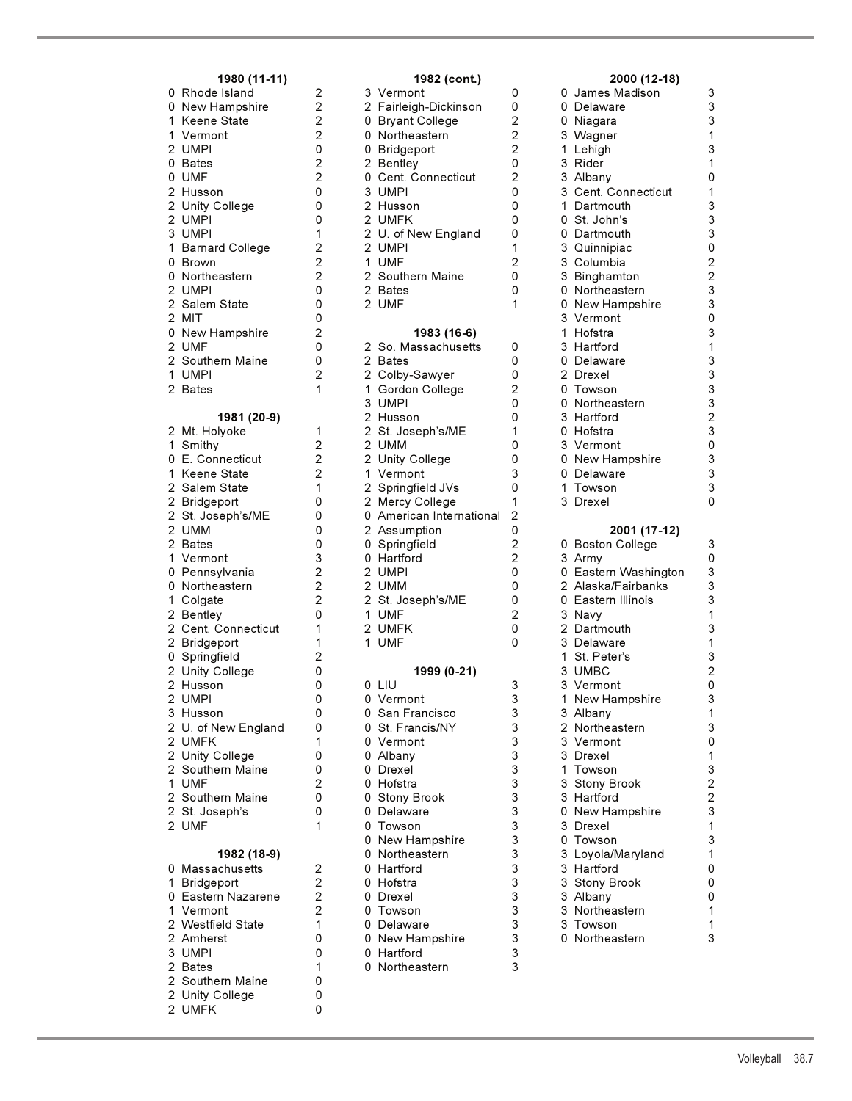| 1980 (11-11)                                                                                                                                                                                                                                                                                                                                                                                                                                                                                                                                                                                                                                                     |                                                                                                                    |
|------------------------------------------------------------------------------------------------------------------------------------------------------------------------------------------------------------------------------------------------------------------------------------------------------------------------------------------------------------------------------------------------------------------------------------------------------------------------------------------------------------------------------------------------------------------------------------------------------------------------------------------------------------------|--------------------------------------------------------------------------------------------------------------------|
| 0<br>Rhode Island<br>0<br>New Hampshire<br>$\mathbf 1$<br>Keene State<br>1<br>Vermont<br>2 UMPI<br>0 Bates<br>0 Bates<br>0 UMF<br>2 Husson<br>2 UMPI<br>3 UMPI<br>3 UMPI<br>1 Barnard Colle<br>0 Brown<br>0 Northeastern<br>0 Northeastern<br><b>Barnard College</b><br>2 UMPI<br>2 UMPI<br>2 Salen<br>2 MIT<br>Salem State<br>0 New Hampshire<br>2  UMF<br>2  Southern Maine<br>1 UMPI<br>$\overline{2}$<br><b>Bates</b>                                                                                                                                                                                                                                        | 22202200<br>0122200020021                                                                                          |
| 1981 (20-9)                                                                                                                                                                                                                                                                                                                                                                                                                                                                                                                                                                                                                                                      |                                                                                                                    |
| $\overline{\mathbf{c}}$<br>Mt. Holyoke<br>$\mathbf 1$<br>Smithy<br>0<br>E. Connecticut<br>$\mathbf 1$<br>Keene State<br>$2$<br>$2$<br>$2$<br>$2$<br>$2$<br>Salem State<br>Bridgeport<br>St. Joseph's/ME<br><b>UMM</b><br><b>Bates</b><br>$\mathbf{1}$<br>Vermont<br>0 Pennsylvania<br>0<br>Northeastern<br>$\mathbf 1$<br>Colgate<br>2 Bentley<br>2 Cent. C<br>Cent. Connecticut<br>$\overline{c}$<br>Bridgeport<br>0 Springfield<br>2 Unity College<br>$\overline{2}$<br>Husson<br>2 Husson<br>2 UMPI<br>3 Husson<br>2 U. of New Engla<br>2 UMFK<br>2 Southern Maine<br>1 UMF<br>2 St. Joseph's<br>2 St. Joseph's<br>U. of New England<br>$\overline{2}$<br>UMF | 1222100003222011<br>$\overline{c}$<br>0<br>$\overline{0}$<br>0<br>0<br>0<br>1<br>0<br>0<br>$\frac{2}{0}$<br>0<br>1 |
| 1982 (18-9)<br>Massachusetts<br>0<br>1<br>Bridgeport<br>0<br>Eastern Nazarene<br>1223222<br>Vermont<br>Westfield State<br>Amherst<br><b>UMPI</b><br><b>Bates</b><br>Southern Maine<br>Unity College<br><b>UMFK</b>                                                                                                                                                                                                                                                                                                                                                                                                                                               | 222100<br>$\mathbf{1}$<br>0<br>0<br>0                                                                              |

| 1980 (11-11)                  |                         | 1982 (cont.)                 |                | 2000 (12-18)               |                           |
|-------------------------------|-------------------------|------------------------------|----------------|----------------------------|---------------------------|
| 0 Rhode Island                | 2                       | 3 Vermont                    | 0              | 0 James Madison            | 3                         |
| 0 New Hampshire               | $\overline{c}$          | 2 Fairleigh-Dickinson        | 0              | 0 Delaware                 | 3                         |
| 1 Keene State                 | $\overline{c}$          | 0 Bryant College             | $\overline{c}$ | 0 Niagara                  | 3                         |
| 1 Vermont                     | $\overline{c}$          | 0 Northeastern               | $\overline{c}$ | 3 Wagner                   | 1                         |
| 2 UMPI                        | 0                       | 0 Bridgeport                 | $\overline{2}$ | 1 Lehigh                   | 3                         |
| 0 Bates                       | 2                       | 2 Bentley                    | 0              | 3 Rider                    | 1                         |
| 0 UMF                         | $\overline{c}$          | 0 Cent. Connecticut          | $\overline{2}$ | 3 Albany                   | 0                         |
| 2 Husson                      | 0                       | 3 UMPI                       | 0              | 3 Cent. Connecticut        | 1                         |
| 2 Unity College               | 0                       | 2 Husson                     | 0              | 1 Dartmouth                | 3                         |
| 2 UMPI                        | 0                       | 2 UMFK                       | 0              | 0 St. John's               | 3                         |
| 3 UMPI                        | 1                       | 2 U. of New England          | 0              | 0 Dartmouth                | 3                         |
| 1 Barnard College             | 2                       | 2 UMPI                       | 1              | 3 Quinnipiac               | 0                         |
| 0 Brown                       | $\overline{\mathbf{c}}$ | 1 UMF                        | $\overline{c}$ | 3 Columbia                 | $\overline{c}$            |
| 0 Northeastern                | $\overline{c}$          | 2 Southern Maine             | 0              | 3 Binghamton               | $\overline{c}$            |
| 2 UMPI                        | 0                       | 2 Bates                      | 0              | 0 Northeastern             | 3                         |
| 2 Salem State                 | 0                       | 2 UMF                        | 1              | 0 New Hampshire            | $\ensuremath{\mathsf{3}}$ |
| 2 MIT                         | 0                       |                              |                | 3 Vermont                  | 0                         |
| 0 New Hampshire               | 2                       | 1983 (16-6)                  |                | 1 Hofstra                  | 3                         |
| 2 UMF                         | 0                       | 2 So. Massachusetts          | 0              | 3 Hartford                 | 1                         |
| 2 Southern Maine              | 0                       | 2 Bates                      | 0              | 0 Delaware                 | 3                         |
| 1 UMPI                        | 2                       | 2 Colby-Sawyer               | 0              | 2 Drexel                   | 3                         |
| 2 Bates                       | 1                       | 1 Gordon College             | $\overline{2}$ | 0 Towson                   | 3                         |
|                               |                         | 3 UMPI                       | 0              | 0 Northeastern             | 3                         |
| 1981 (20-9)                   |                         | 2 Husson                     | 0              | 3 Hartford                 | 2                         |
| 2 Mt. Holyoke                 | 1                       | 2 St. Joseph's/ME            | 1              | 0 Hofstra                  | 3                         |
| 1 Smithy                      | $\overline{2}$          | 2 UMM                        | 0              | 3 Vermont                  | 0                         |
| 0 E. Connecticut              | $\overline{c}$          | 2 Unity College              | 0              | 0 New Hampshire            | 3                         |
| 1 Keene State                 | 2                       | 1 Vermont                    | 3              | 0 Delaware                 | 3                         |
| 2 Salem State                 | 1                       | 2 Springfield JVs            | 0              | 1 Towson                   | 3                         |
| 2 Bridgeport                  | 0                       | 2 Mercy College              | 1              | 3 Drexel                   | 0                         |
| 2 St. Joseph's/ME             | 0                       | 0 American International     | 2              |                            |                           |
| 2 UMM                         | 0                       | 2 Assumption                 | 0              | 2001 (17-12)               |                           |
| 2 Bates                       | 0                       | 0 Springfield                | $\overline{c}$ | 0 Boston College           | 3                         |
| 1 Vermont                     | 3                       | 0 Hartford                   | $\overline{2}$ | 3 Army                     | $\mathsf 0$               |
| 0 Pennsylvania                | $\overline{c}$          | 2 UMPI                       | 0              | 0 Eastern Washington       | 3                         |
| 0 Northeastern                | $\overline{c}$          | 2 UMM                        | 0              | 2 Alaska/Fairbanks         | 3                         |
| 1 Colgate                     | $\overline{c}$          | 2 St. Joseph's/ME            | 0              | 0 Eastern Illinois         | 3                         |
| 2 Bentley                     | 0                       | 1 UMF                        | $\overline{c}$ | 3 Navy                     | 1                         |
| 2 Cent. Connecticut           | 1                       | 2 UMFK                       | 0              | 2 Dartmouth                | 3                         |
| 2 Bridgeport                  | 1                       | 1 UMF                        | 0              | 3 Delaware                 | 1                         |
| 0 Springfield                 | $\overline{2}$          |                              |                | 1 St. Peter's              | 3                         |
| 2 Unity College               | 0                       | 1999 (0-21)                  |                | 3 UMBC                     | $\overline{c}$            |
| 2 Husson                      | 0                       | 0 LIU                        | 3              | 3 Vermont                  | 0                         |
| 2 UMPI                        | 0<br>0                  | 0 Vermont<br>0 San Francisco | 3<br>3         | 1 New Hampshire            | 3<br>1                    |
| 3 Husson                      | 0                       | 0 St. Francis/NY             | 3              | 3 Albany<br>2 Northeastern | $\ensuremath{\mathsf{3}}$ |
| 2 U. of New England<br>2 UMFK | 1                       | 0 Vermont                    | 3              | 3 Vermont                  | 0                         |
| 2 Unity College               | 0                       | 0 Albany                     | 3              | 3 Drexel                   | $\mathbf{1}$              |
| 2 Southern Maine              | 0                       | 0 Drexel                     | 3              | 1 Towson                   | 3                         |
| 1 UMF                         | $\overline{c}$          | 0 Hofstra                    | 3              | 3 Stony Brook              | $\mathbf{2}$              |
| 2 Southern Maine              | 0                       | 0 Stony Brook                | 3              | 3 Hartford                 | $\overline{c}$            |
| 2 St. Joseph's                | 0                       | 0 Delaware                   | 3              | 0 New Hampshire            | 3                         |
| 2 UMF                         | 1                       | 0 Towson                     | 3              | 3 Drexel                   | 1                         |
|                               |                         | 0 New Hampshire              | 3              | 0 Towson                   | 3                         |
| 1982 (18-9)                   |                         | 0 Northeastern               | 3              | 3 Loyola/Maryland          | 1                         |
| 0 Massachusetts               | $\overline{c}$          | 0 Hartford                   | 3              | 3 Hartford                 | $\mathsf 0$               |
| 1 Bridgeport                  | $\overline{2}$          | 0 Hofstra                    | 3              | 3 Stony Brook              | 0                         |
| 0 Eastern Nazarene            | 2                       | 0 Drexel                     | 3              | 3 Albany                   | $\mathbf 0$               |
| 1 Vermont                     | $\overline{2}$          | 0 Towson                     | 3              | 3 Northeastern             | 1                         |
| 2 Westfield State             | 1                       | 0 Delaware                   | 3              | 3 Towson                   | 1                         |
| 2 Amherst                     | 0                       | 0 New Hampshire              | 3              | 0 Northeastern             | 3                         |
| 3 UMPI                        | 0                       | 0 Hartford                   | 3              |                            |                           |
| 2 Bates                       | 1                       | 0 Northeastern               | 3              |                            |                           |
| 2 Southern Maine              | 0                       |                              |                |                            |                           |
|                               |                         |                              |                |                            |                           |

| ı<br>0<br>James Madison<br>0<br>Delaware<br>0<br>Niagara<br>3<br>Wagner<br>1<br>Lehigh<br>3<br>3<br>Rider<br>Albany<br>3<br>1<br>Cent. Connecticut<br>Dartmouth<br>0<br>St. John's<br>0<br>Dartmouth<br>3<br>Quinnipiac<br>3<br>Columbia<br>3<br>Binghamton<br>0<br>Northeastern<br>0<br>New Hampshire<br>3<br>Vermont<br>1<br>Hofstra<br>3<br>Hartford<br>0<br>Delaware<br>$\overline{\mathbf{c}}$<br>Drexel<br>0<br>Towson<br>0<br>Northeastern<br>3<br>Hartford<br>0<br>Hofstra<br>3<br>Vermont<br>0 New Hampshire<br>0<br>Delaware<br>1<br>Towson<br>3<br>Drexel                                                        | 333131<br>0<br>$\overline{\mathbf{1}}$<br>333022330313332303330                                                                                                                                       |
|-----------------------------------------------------------------------------------------------------------------------------------------------------------------------------------------------------------------------------------------------------------------------------------------------------------------------------------------------------------------------------------------------------------------------------------------------------------------------------------------------------------------------------------------------------------------------------------------------------------------------------|-------------------------------------------------------------------------------------------------------------------------------------------------------------------------------------------------------|
| 2001 (17-12)<br><b>Boston College</b><br>0<br>3<br>Army<br>0<br>Eastern Washington<br>$\overline{c}$<br>Alaska/Fairbanks<br>0<br>Eastern Illinois<br>$\frac{3}{2}$<br>Navy<br>Dartmouth<br>3<br>1<br>Delaware<br>St. Peter's<br>3<br><b>UMBC</b><br>3<br>Vermont<br>1<br>New Hampshire<br>$\frac{3}{2}$<br>Albany<br>Northeastern<br>3<br>3<br>1<br>Vermont<br>Drexel<br>Towson<br>3<br>3<br><b>Stony Brook</b><br>Hartford<br>0<br>New Hampshire<br>3<br>Drexel<br>0<br>Towson<br>3<br>3<br>3<br>3<br>Loyola/Maryland<br>Hartford<br><b>Stony Brook</b><br>Albany<br>3<br>Northeastern<br>3<br>Towson<br>0<br>Northeastern | 3<br>0 3 3 3 1 3<br>$\begin{array}{c} 1 \\ 3 \\ 2 \end{array}$<br>0<br>3<br>1<br>3<br>0<br>$\frac{1}{3}$<br>$\begin{array}{c}\n2 \\ 2 \\ 3 \\ 1\n\end{array}$<br>3<br>1<br>0<br>0<br>0<br>1<br>1<br>3 |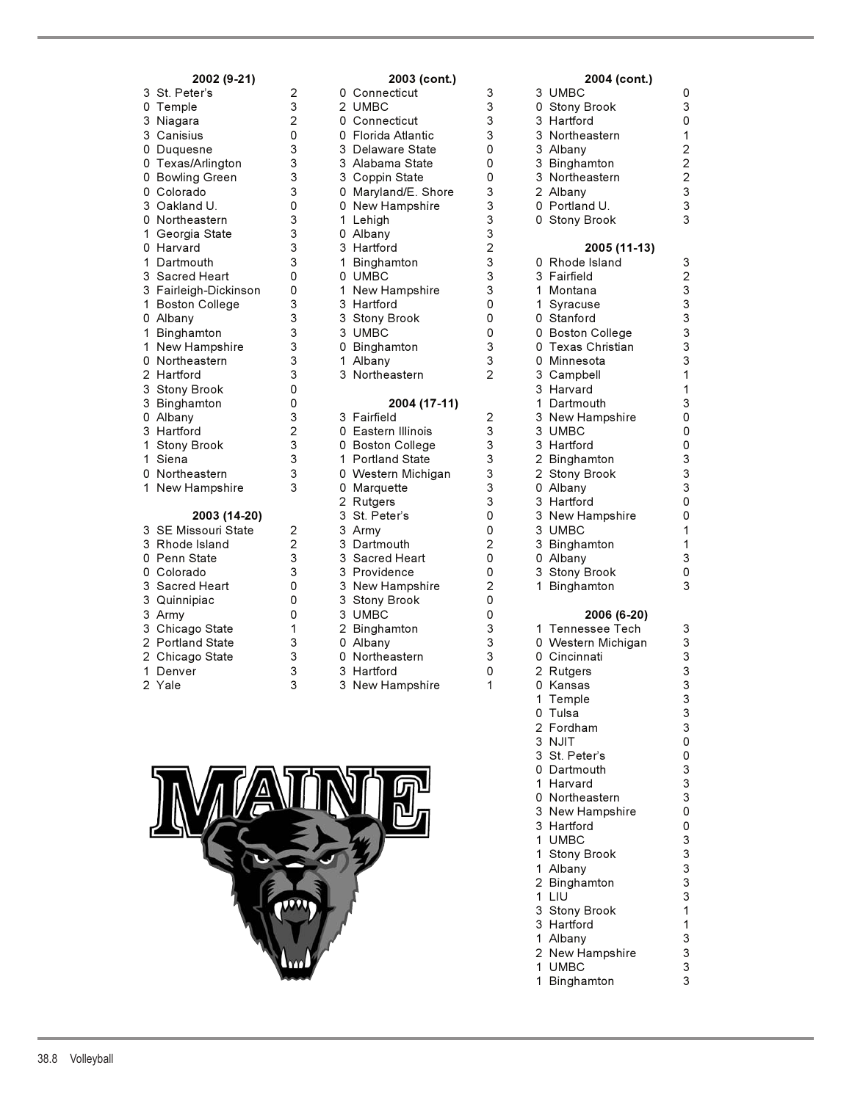| 3<br>St. Peter's<br>0<br>Temple              |
|----------------------------------------------|
| Niagara                                      |
| 3<br>3<br>Canisius                           |
| $\mathsf{O}$<br>Duquesne                     |
| 0<br>Texas/Arlington                         |
| 0<br><b>Bowling Green</b>                    |
| 0<br>Colorado                                |
| 3<br>Oakland U.                              |
| 0<br>Northeastern                            |
| 1<br>Georgia State                           |
| 0<br>Harvard                                 |
| $\mathbf 1$<br>Dartmouth                     |
| 3<br>Sacred Heart                            |
| 3<br>Fairleigh-Dickinson                     |
| $\overline{1}$<br><b>Boston College</b>      |
| 0<br>Albany                                  |
| 1<br>Binghamton                              |
| 1<br>New Hampshire                           |
| 0<br>Northeastern                            |
| Hartford                                     |
| 2<br>3<br>3<br>0<br><b>Stony Brook</b>       |
| Binghamton                                   |
| Albany                                       |
| 3<br>Hartford                                |
| 1<br><b>Stony Brook</b>                      |
| 1<br>Siena                                   |
| 0<br>Northeastern                            |
| 1<br>New Hampshire                           |
| 2003 (14-20)                                 |
| <b>SE Missouri State</b><br>3                |
| 3 Rhode Island<br>0 Penn State<br>0 Colorado |
|                                              |
|                                              |
| $\frac{1}{3}$<br>Sacred Heart                |
| 3<br>Quinnipiac                              |
| 3<br>3<br>Army                               |
| Chicago State                                |

- 
- 2 Chicago State
- 
- 

| 2002 (9-21)           |                |   | 2003 (cont.)        |                |    | 2004 (cont.)       |
|-----------------------|----------------|---|---------------------|----------------|----|--------------------|
| 3 St. Peter's         | 2              |   | 0 Connecticut       | 3              |    | 3 UMBC             |
| 0 Temple              | 3              |   | 2 UMBC              | 3              |    | 0 Stony Brook      |
| 3 Niagara             | $\overline{2}$ |   | 0 Connecticut       | 3              |    | 3 Hartford         |
| 3 Canisius            | 0              |   | 0 Florida Atlantic  | 3              |    | 3 Northeastern     |
| 0 Duquesne            | 3              |   | 3 Delaware State    | 0              |    | 3 Albany           |
| 0 Texas/Arlington     | 3              |   | 3 Alabama State     | 0              | 3  | Binghamton         |
| 0 Bowling Green       | 3              |   | 3 Coppin State      | 0              |    | 3 Northeastern     |
| 0 Colorado            | 3              |   | 0 Maryland/E. Shore | 3              |    | 2 Albany           |
| 3 Oakland U.          | 0              |   | 0 New Hampshire     | 3              |    | 0 Portland U.      |
| 0 Northeastern        | 3              |   | 1 Lehigh            | 3              |    | 0 Stony Brook      |
| 1 Georgia State       | 3              |   | 0 Albany            | 3              |    |                    |
| 0 Harvard             | 3              |   | 3 Hartford          | 2              |    | 2005 (11-13)       |
| 1 Dartmouth           | 3              | 1 | Binghamton          | 3              |    | 0 Rhode Island     |
| 3 Sacred Heart        | 0              |   | 0 UMBC              | 3              |    | 3 Fairfield        |
| 3 Fairleigh-Dickinson | 0              |   | 1 New Hampshire     | 3              |    | 1 Montana          |
| 1 Boston College      | 3              |   | 3 Hartford          | 0              | 1. | Syracuse           |
| 0 Albany              | 3              |   | 3 Stony Brook       | 0              |    | 0 Stanford         |
| 1 Binghamton          | 3              |   | 3 UMBC              | 0              |    | 0 Boston College   |
| 1 New Hampshire       | 3              |   | 0 Binghamton        | 3              |    | 0 Texas Christian  |
| 0 Northeastern        | 3              |   | 1 Albany            | 3              |    | 0 Minnesota        |
| 2 Hartford            | 3              |   | 3 Northeastern      | 2              |    | 3 Campbell         |
| 3 Stony Brook         | 0              |   |                     |                |    | 3 Harvard          |
| 3 Binghamton          | 0              |   | 2004 (17-11)        |                |    | 1 Dartmouth        |
| 0 Albany              | 3              |   | 3 Fairfield         | 2              |    | 3 New Hampshire    |
| 3 Hartford            | $\overline{2}$ |   | 0 Eastern Illinois  | 3              |    | 3 UMBC             |
| 1 Stony Brook         | 3              |   | 0 Boston College    | 3              |    | 3 Hartford         |
| 1 Siena               | 3              |   | 1 Portland State    | 3              |    | 2 Binghamton       |
| 0 Northeastern        | 3              |   | 0 Western Michigan  | 3              |    | 2 Stony Brook      |
| 1 New Hampshire       | 3              |   | 0 Marquette         | 3              |    | 0 Albany           |
|                       |                |   | 2 Rutgers           | 3              |    | 3 Hartford         |
| 2003 (14-20)          |                |   | 3 St. Peter's       | 0              |    | 3 New Hampshire    |
| 3 SE Missouri State   | 2              |   | 3 Army              | 0              |    | 3 UMBC             |
| 3 Rhode Island        | $\overline{c}$ |   | 3 Dartmouth         | $\overline{2}$ | 3  | Binghamton         |
| 0 Penn State          | 3              |   | 3 Sacred Heart      | 0              |    | 0 Albany           |
| 0 Colorado            | 3              |   | 3 Providence        | 0              |    | 3 Stony Brook      |
| 3 Sacred Heart        | 0              |   | 3 New Hampshire     | 2              | 1. | Binghamton         |
| 3 Quinnipiac          | 0              |   | 3 Stony Brook       | 0              |    |                    |
| 3 Army                | 0              |   | 3 UMBC              | 0              |    | 2006 (6-20)        |
| 3 Chicago State       | 1              |   | 2 Binghamton        | 3              |    | 1 Tennessee Tech   |
| 2 Portland State      | 3              |   | 0 Albany            | 3              |    | 0 Western Michigan |
| 2 Chicago State       | 3              |   | 0 Northeastern      | 3              |    | 0 Cincinnati       |
| 1 Denver              | 3              |   | 3 Hartford          | 0              |    | 2 Rutgers          |
| 2 Yale                | 3              |   | 3 New Hampshire     | 1              |    | 0 Kansas           |



|  | 2002 (9-21)           |                | 2003 (cont.)        |                | 2004 (cont.)       |                           |
|--|-----------------------|----------------|---------------------|----------------|--------------------|---------------------------|
|  | 3 St. Peter's         | $\overline{2}$ | 0 Connecticut       | 3              | 3 UMBC             | 0                         |
|  | 0 Temple              | 3              | 2 UMBC              | 3              | 0 Stony Brook      | 3                         |
|  | 3 Niagara             | 2              | 0 Connecticut       | 3              | 3 Hartford         | 0                         |
|  | 3 Canisius            | 0              | 0 Florida Atlantic  | 3              | 3 Northeastern     | 1                         |
|  | 0 Duquesne            | 3              | 3 Delaware State    | 0              | 3 Albany           | $\overline{c}$            |
|  | 0 Texas/Arlington     | 3              | 3 Alabama State     | 0              | 3 Binghamton       | $\overline{c}$            |
|  | 0 Bowling Green       | 3              | 3 Coppin State      | 0              | 3 Northeastern     | $\overline{c}$            |
|  | 0 Colorado            | 3              | 0 Maryland/E. Shore | 3              | 2 Albany           | 3                         |
|  | 3 Oakland U.          | 0              | 0 New Hampshire     | 3              | 0 Portland U.      | $\ensuremath{\mathsf{3}}$ |
|  | 0 Northeastern        | 3              | 1 Lehigh            | 3              | 0 Stony Brook      | 3                         |
|  | 1 Georgia State       | 3              | 0 Albany            | 3              |                    |                           |
|  | 0 Harvard             | 3              | 3 Hartford          | $\overline{2}$ | 2005 (11-13)       |                           |
|  | 1 Dartmouth           | 3              | 1 Binghamton        | 3              | 0 Rhode Island     | 3                         |
|  | 3 Sacred Heart        | 0              | 0 UMBC              | 3              | 3 Fairfield        | $\overline{2}$            |
|  | 3 Fairleigh-Dickinson | 0              | 1 New Hampshire     | 3              | 1 Montana          | 3                         |
|  | 1 Boston College      | 3              | 3 Hartford          | 0              | 1 Syracuse         | 3                         |
|  | 0 Albany              | 3              | 3 Stony Brook       | 0              | 0 Stanford         | 3                         |
|  | 1 Binghamton          | 3              | 3 UMBC              | 0              | 0 Boston College   | 3                         |
|  | 1 New Hampshire       | 3              | 0 Binghamton        | 3              | 0 Texas Christian  | 3                         |
|  | 0 Northeastern        | 3              | 1 Albany            | 3              | 0 Minnesota        | 3                         |
|  | 2 Hartford            | 3              | 3 Northeastern      | $\overline{2}$ | 3 Campbell         | 1                         |
|  | 3 Stony Brook         | 0              |                     |                | 3 Harvard          | 1                         |
|  | 3 Binghamton          | 0              | 2004 (17-11)        |                | 1 Dartmouth        | 3                         |
|  | 0 Albany              | 3              | 3 Fairfield         | $\overline{c}$ | 3 New Hampshire    | 0                         |
|  | 3 Hartford            | 2              | 0 Eastern Illinois  | 3              | 3 UMBC             | $\mathsf{O}\xspace$       |
|  | 1 Stony Brook         | 3              | 0 Boston College    | 3              | 3 Hartford         | 0                         |
|  | 1 Siena               | 3              | 1 Portland State    | 3              | 2 Binghamton       | 3                         |
|  | 0 Northeastern        | 3              | 0 Western Michigan  | 3              | 2 Stony Brook      | 3                         |
|  | 1 New Hampshire       | 3              | 0 Marquette         | 3              | 0 Albany           | 3                         |
|  |                       |                | 2 Rutgers           | 3              | 3 Hartford         | 0                         |
|  | 2003 (14-20)          |                | 3 St. Peter's       | 0              | 3 New Hampshire    | $\mathsf{O}\xspace$       |
|  | 3 SE Missouri State   | 2              | 3 Army              | 0              | 3 UMBC             | 1                         |
|  | 3 Rhode Island        | $\overline{2}$ | 3 Dartmouth         | 2              | 3 Binghamton       | 1                         |
|  | 0 Penn State          | 3              | 3 Sacred Heart      | 0              | 0 Albany           | 3                         |
|  | 0 Colorado            | 3              | 3 Providence        | 0              | 3 Stony Brook      | 0                         |
|  | 3 Sacred Heart        | 0              | 3 New Hampshire     | $\overline{2}$ | 1 Binghamton       | 3                         |
|  | 3 Quinnipiac          | 0              | 3 Stony Brook       | 0              |                    |                           |
|  | 3 Army                | 0              | 3 UMBC              | 0              | 2006 (6-20)        |                           |
|  | 3 Chicago State       | 1              | 2 Binghamton        | 3              | 1 Tennessee Tech   | 3                         |
|  | 2 Portland State      | 3              | 0 Albany            | 3              | 0 Western Michigan | $\ensuremath{\mathsf{3}}$ |
|  | 2 Chicago State       | 3              | 0 Northeastern      | 3              | 0 Cincinnati       | 3                         |
|  | 1 Denver              | 3              | 3 Hartford          | 0              | 2 Rutgers          | 3                         |
|  | $2$ Vale              | C              | 3 New Hampehire     | 1              | n Kansas           | $\mathbf{z}$              |

| Denver | 3 | 3 Hartford      | 0 | 2 Rutgers       | 3                         |
|--------|---|-----------------|---|-----------------|---------------------------|
| 2 Yale | 3 | 3 New Hampshire |   | 0 Kansas        | 3                         |
|        |   |                 |   | 1 Temple        | 3                         |
|        |   |                 |   | 0 Tulsa         | 3                         |
|        |   |                 |   | 2 Fordham       | 3                         |
|        |   |                 |   | 3 NJIT          | 0                         |
|        |   |                 |   | 3 St. Peter's   | 0                         |
|        |   |                 |   | 0 Dartmouth     | 3                         |
|        |   |                 |   | 1 Harvard       | $\ensuremath{\mathsf{3}}$ |
|        |   |                 |   | 0 Northeastern  | 3                         |
|        |   |                 |   | 3 New Hampshire | 0                         |
|        |   |                 |   | 3 Hartford      | 0                         |
|        |   |                 |   | 1 UMBC          | 3                         |
|        |   |                 |   | 1 Stony Brook   | 3                         |
|        |   |                 |   | 1 Albany        | 3                         |
|        |   |                 |   | 2 Binghamton    | 3                         |
|        |   |                 |   | 1 LIU           | 3                         |
|        |   |                 |   | 3 Stony Brook   |                           |
|        |   |                 |   | 3 Hartford      |                           |
|        |   |                 |   | 1 Albany        | 3                         |
|        |   |                 |   | 2 New Hampshire | 3                         |

1 UMBC 3<br>1 Binghamton 3

### 38.8 Volleyball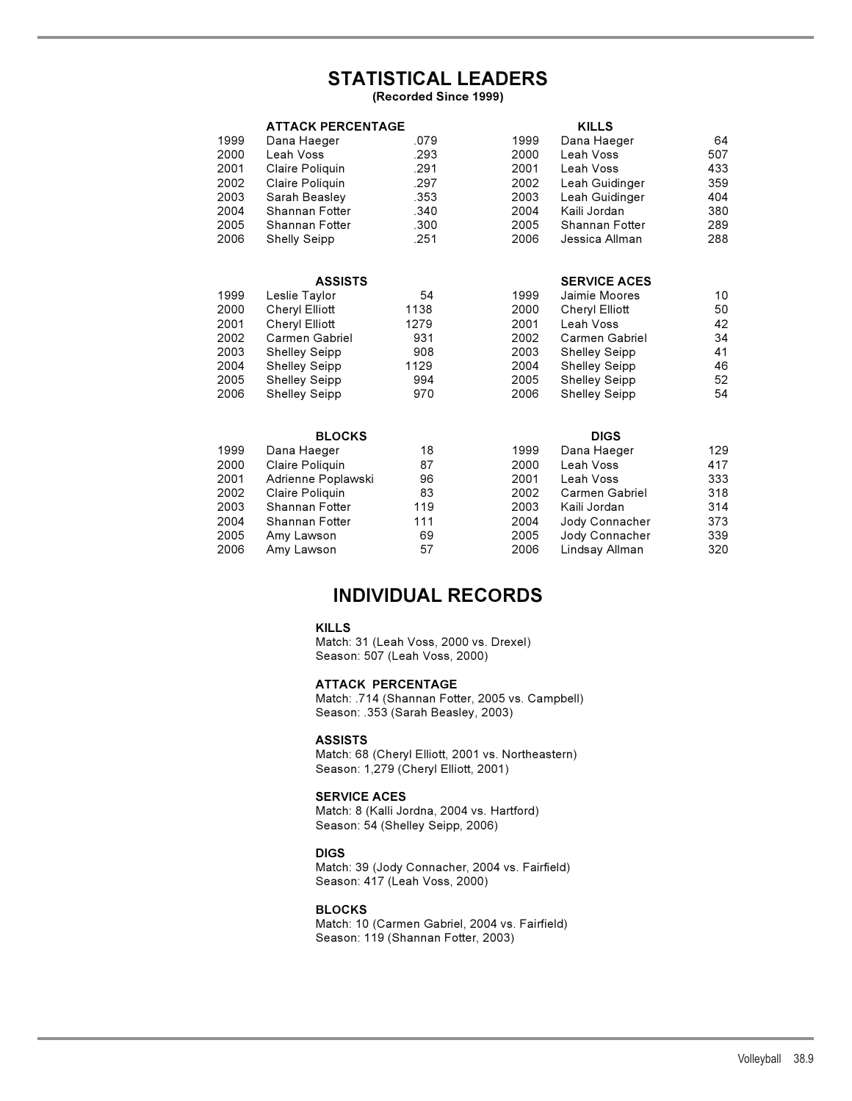# **STATISTICAL LEADERS**

**(Recorded Since 1999)**

|      | <b>ATTACK PERCENTAGE</b> |      |      | <b>KILLS</b>         |                 |
|------|--------------------------|------|------|----------------------|-----------------|
| 1999 | Dana Haeger              | .079 | 1999 | Dana Haeger          | 64              |
| 2000 | Leah Voss                | .293 | 2000 | Leah Voss            | 507             |
| 2001 | Claire Poliquin          | .291 | 2001 | Leah Voss            | 433             |
| 2002 | Claire Poliquin          | .297 | 2002 | Leah Guidinger       | 359             |
| 2003 | Sarah Beasley            | .353 | 2003 | Leah Guidinger       | 404             |
| 2004 | Shannan Fotter           | .340 | 2004 | Kaili Jordan         | 380             |
| 2005 | Shannan Fotter           | .300 | 2005 | Shannan Fotter       | 289             |
| 2006 | <b>Shelly Seipp</b>      | .251 | 2006 | Jessica Allman       | 288             |
|      | <b>ASSISTS</b>           |      |      | <b>SERVICE ACES</b>  |                 |
| 1999 | Leslie Taylor            | 54   | 1999 | Jaimie Moores        | 10 <sup>°</sup> |
| 2000 | Cheryl Elliott           | 1138 | 2000 | Cheryl Elliott       | 50              |
| 2001 | Cheryl Elliott           | 1279 | 2001 | Leah Voss            | 42              |
| 2002 | Carmen Gabriel           | 931  | 2002 | Carmen Gabriel       | 34              |
| 2003 | <b>Shelley Seipp</b>     | 908  | 2003 | <b>Shelley Seipp</b> | 41              |
| 2004 | <b>Shelley Seipp</b>     | 1129 | 2004 | <b>Shelley Seipp</b> | 46              |
| 2005 | <b>Shelley Seipp</b>     | 994  | 2005 | <b>Shelley Seipp</b> | 52              |
| 2006 | <b>Shelley Seipp</b>     | 970  | 2006 | <b>Shelley Seipp</b> | 54              |
|      | <b>BLOCKS</b>            |      |      | <b>DIGS</b>          |                 |
| 1999 | Dana Haeger              | 18   | 1999 | Dana Haeger          | 129             |
| 2000 | Claire Poliquin          | 87   | 2000 | Leah Voss            | 417             |
| 2001 | Adrienne Poplawski       | 96   | 2001 | Leah Voss            | 333             |
| 2002 | Claire Poliquin          | 83   | 2002 | Carmen Gabriel       | 318             |
| 2003 | Shannan Fotter           | 119  | 2003 | Kaili Jordan         | 314             |
| 2004 | Shannan Fotter           | 111  | 2004 | Jody Connacher       | 373             |
| 2005 | Amy Lawson               | 69   | 2005 | Jody Connacher       | 339             |
| 2006 | Amy Lawson               | 57   | 2006 | Lindsay Allman       | 320             |

## **INDIVIDUAL RECORDS**

### **KILLS**

Match: 31 (Leah Voss, 2000 vs. Drexel) Season: 507 (Leah Voss, 2000)

#### **ATTACK PERCENTAGE**

Match: .714 (Shannan Fotter, 2005 vs. Campbell) Season: .353 (Sarah Beasley, 2003)

#### **ASSISTS**

Match: 68 (Cheryl Elliott, 2001 vs. Northeastern) Season: 1,279 (Cheryl Elliott, 2001)

### **SERVICE ACES**

Match: 8 (Kalli Jordna, 2004 vs. Hartford) Season: 54 (Shelley Seipp, 2006)

#### **DIGS**

Match: 39 (Jody Connacher, 2004 vs. Fairfield) Season: 417 (Leah Voss, 2000)

#### **BLOCKS**

Match: 10 (Carmen Gabriel, 2004 vs. Fairfield) Season: 119 (Shannan Fotter, 2003)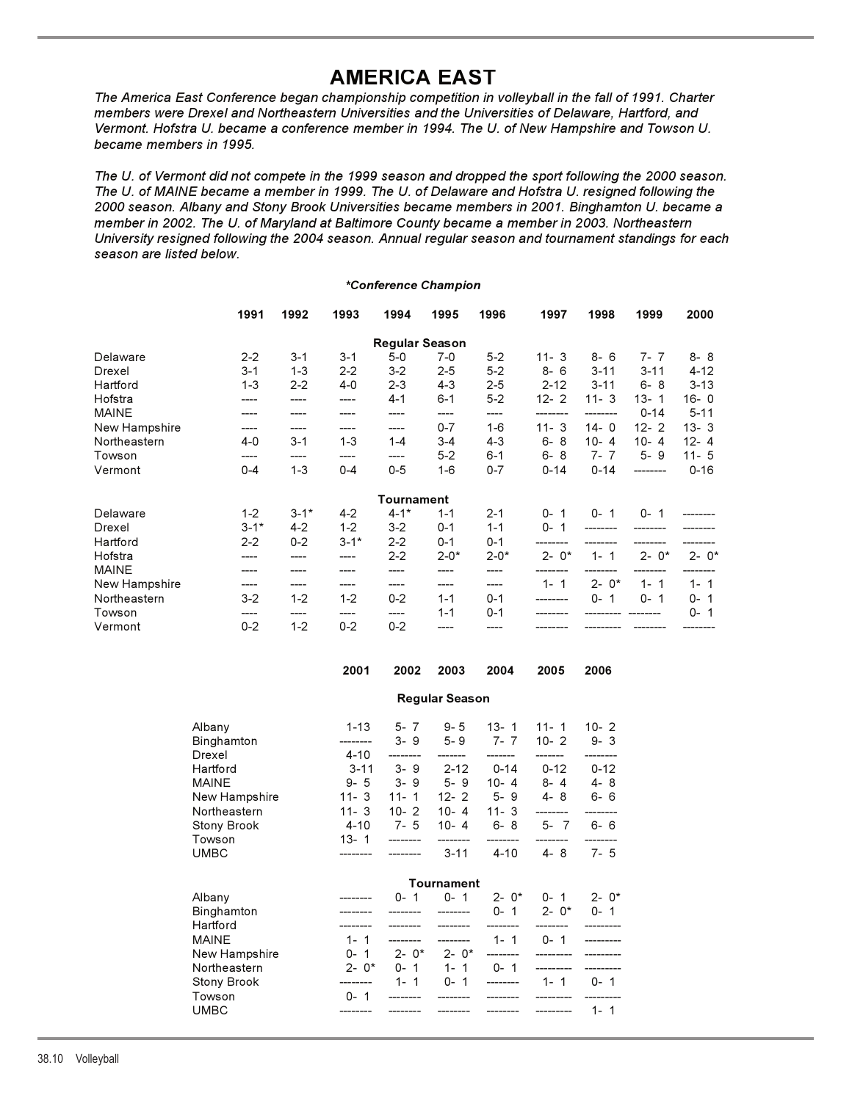**AMERICA EAST** *The America East Conference began championship competition in volleyball in the fall of 1991. Charter members were Drexel and Northeastern Universities and the Universities of Delaware, Hartford, and Vermont. Hofstra U. became a conference member in 1994. The U. of New Hampshire and Towson U. became members in 1995.*

*The U. of Vermont did not compete in the 1999 season and dropped the sport following the 2000 season. The U. of MAINE became a member in 1999. The U. of Delaware and Hofstra U. resigned following the 2000 season. Albany and Stony Brook Universities became members in 2001. Binghamton U. became a member in 2002. The U. of Maryland at Baltimore County became a member in 2003. Northeastern University resigned following the 2004 season. Annual regular season and tournament standings for each season are listed below.*

#### *\*Conference Champion*

|               | 1991     | 1992     | 1993     | 1994                  | 1995     | 1996     | 1997     | 1998     | 1999     | 2000     |
|---------------|----------|----------|----------|-----------------------|----------|----------|----------|----------|----------|----------|
|               |          |          |          | <b>Regular Season</b> |          |          |          |          |          |          |
| Delaware      | $2 - 2$  | $3 - 1$  | $3 - 1$  | $5-0$                 | $7-0$    | $5 - 2$  | $11 - 3$ | $8 - 6$  | $7 - 7$  | $8 - 8$  |
| Drexel        | $3 - 1$  | $1 - 3$  | $2 - 2$  | $3-2$                 | $2 - 5$  | $5 - 2$  | $8 - 6$  | $3 - 11$ | $3 - 11$ | $4 - 12$ |
| Hartford      | $1 - 3$  | $2 - 2$  | $4 - 0$  | $2 - 3$               | $4 - 3$  | $2 - 5$  | $2 - 12$ | $3 - 11$ | $6 - 8$  | $3 - 13$ |
| Hofstra       |          | ----     | ----     | $4 - 1$               | $6 - 1$  | $5-2$    | $12 - 2$ | $11 - 3$ | $13 - 1$ | $16 - 0$ |
| <b>MAINE</b>  |          |          |          | ----                  | ----     | ----     |          |          | $0 - 14$ | $5 - 11$ |
| New Hampshire |          | ----     | ----     | ----                  | $0 - 7$  | $1 - 6$  | $11 - 3$ | $14 - 0$ | $12 - 2$ | $13 - 3$ |
| Northeastern  | $4 - 0$  | $3 - 1$  | $1 - 3$  | $1 - 4$               | $3 - 4$  | $4 - 3$  | $6 - 8$  | $10 - 4$ | $10 - 4$ | $12 - 4$ |
| Towson        | ----     | ----     | ----     | ----                  | $5 - 2$  | $6 - 1$  | $6 - 8$  | $7 - 7$  | $5 - 9$  | $11 - 5$ |
| Vermont       | $0 - 4$  | $1 - 3$  | $0 - 4$  | $0 - 5$               | $1-6$    | $0 - 7$  | $0 - 14$ | $0 - 14$ | -------- | $0 - 16$ |
|               |          |          |          | Tournament            |          |          |          |          |          |          |
| Delaware      | $1 - 2$  | $3 - 1*$ | $4-2$    | $4 - 1*$              | $1 - 1$  | $2 - 1$  | $0 - 1$  | $0 - 1$  | $0 - 1$  |          |
| Drexel        | $3 - 1*$ | $4-2$    | $1 - 2$  | $3-2$                 | $0 - 1$  | $1 - 1$  | $0 - 1$  |          |          |          |
| Hartford      | $2 - 2$  | $0 - 2$  | $3 - 1*$ | $2 - 2$               | $0 - 1$  | $0 - 1$  |          |          |          |          |
| Hofstra       |          |          | ----     | $2 - 2$               | $2 - 0*$ | $2 - 0*$ | $2 - 0*$ | $1 - 1$  | $2 - 0*$ | $2 - 0*$ |
| <b>MAINE</b>  |          | ----     |          |                       |          |          |          |          |          |          |
| New Hampshire | ----     | ----     | ----     | ----                  | ----     | ----     | $1 - 1$  | $2 - 0*$ | $1 - 1$  | $1 - 1$  |
| Northeastern  | $3-2$    | $1 - 2$  | $1 - 2$  | $0 - 2$               | $1 - 1$  | $0 - 1$  |          | $0 - 1$  | $0 - 1$  | $0 - 1$  |
| Towson        |          | ----     | ----     | ----                  | $1 - 1$  | $0 - 1$  |          |          |          | $0 - 1$  |
| Vermont       | $0 - 2$  | $1 - 2$  | $0 - 2$  | $0 - 2$               |          |          |          |          |          |          |

|                                  | 2001                         | 2002                        | 2003                  | 2004                                                                                                                                                                                                                                                                                                                                                                 | 2005                                            | 2006     |
|----------------------------------|------------------------------|-----------------------------|-----------------------|----------------------------------------------------------------------------------------------------------------------------------------------------------------------------------------------------------------------------------------------------------------------------------------------------------------------------------------------------------------------|-------------------------------------------------|----------|
|                                  |                              |                             | <b>Regular Season</b> |                                                                                                                                                                                                                                                                                                                                                                      |                                                 |          |
| Albany<br>Binghamton<br>Drexel   | $1 - 13$<br>--------<br>4-10 | --------                    | 5-7 9-5<br>-------    | $13 - 1$<br>$3 - 9$ $5 - 9$ $7 - 7$<br>-------                                                                                                                                                                                                                                                                                                                       | $11 - 1$ 10 - 2<br>$10 - 2$ $9 - 3$<br>-------- |          |
| Hartford<br>MAINE                |                              | $9 - 5$ $3 - 9$ $5 - 9$     |                       | 3-11 3-9 2-12 0-14                                                                                                                                                                                                                                                                                                                                                   | $0 - 12$<br>$10-4$ $8-4$ $4-8$                  | $0 - 12$ |
| New Hampshire<br>Northeastern    |                              |                             |                       | 11-3 11-1 12-2 5-9 4-8 6-6<br>11-3 10-2 10-4 11-3                                                                                                                                                                                                                                                                                                                    | ---------                                       |          |
| Stony Brook<br>Towson            | 13-1                         | ________                    | --------              | 4-10 7-5 10-4 6-8 5-7 6-6<br>--------                                                                                                                                                                                                                                                                                                                                | --------                                        |          |
| UMBC                             |                              |                             | $3-11$                | 4-10                                                                                                                                                                                                                                                                                                                                                                 | 4-8                                             | $7 - 5$  |
|                                  |                              |                             | Tournament            |                                                                                                                                                                                                                                                                                                                                                                      |                                                 |          |
| Albany<br>Binghamton<br>Hartford |                              | ________                    |                       | $0-1$ $0-1$ $2-0$ * $0-1$ $2-0$ *<br>$\frac{1}{2}$ $\frac{1}{2}$ $\frac{1}{2}$ $\frac{1}{2}$ $\frac{1}{2}$ $\frac{1}{2}$ $\frac{1}{2}$ $\frac{1}{2}$ $\frac{1}{2}$ $\frac{1}{2}$ $\frac{1}{2}$ $\frac{1}{2}$ $\frac{1}{2}$ $\frac{1}{2}$ $\frac{1}{2}$ $\frac{1}{2}$ $\frac{1}{2}$ $\frac{1}{2}$ $\frac{1}{2}$ $\frac{1}{2}$ $\frac{1}{2}$ $\frac{1}{2}$<br>-------- |                                                 |          |
| MAINE<br>New Hampshire           | $1 - 1$                      | $0 - 1$ $2 - 0^*$ $2 - 0^*$ |                       | --------                                                                                                                                                                                                                                                                                                                                                             | ----------                                      |          |
| Northeastern<br>Stony Brook      |                              |                             |                       | 2-0* 0-1 1-1 0-1<br>-------- 1-1 0-1 ------- 1-1 0-1                                                                                                                                                                                                                                                                                                                 |                                                 |          |
| Towson<br>UMBC                   | $0 - 1$                      | ---------                   |                       | -------- -------- -------- --------- 1-1                                                                                                                                                                                                                                                                                                                             |                                                 |          |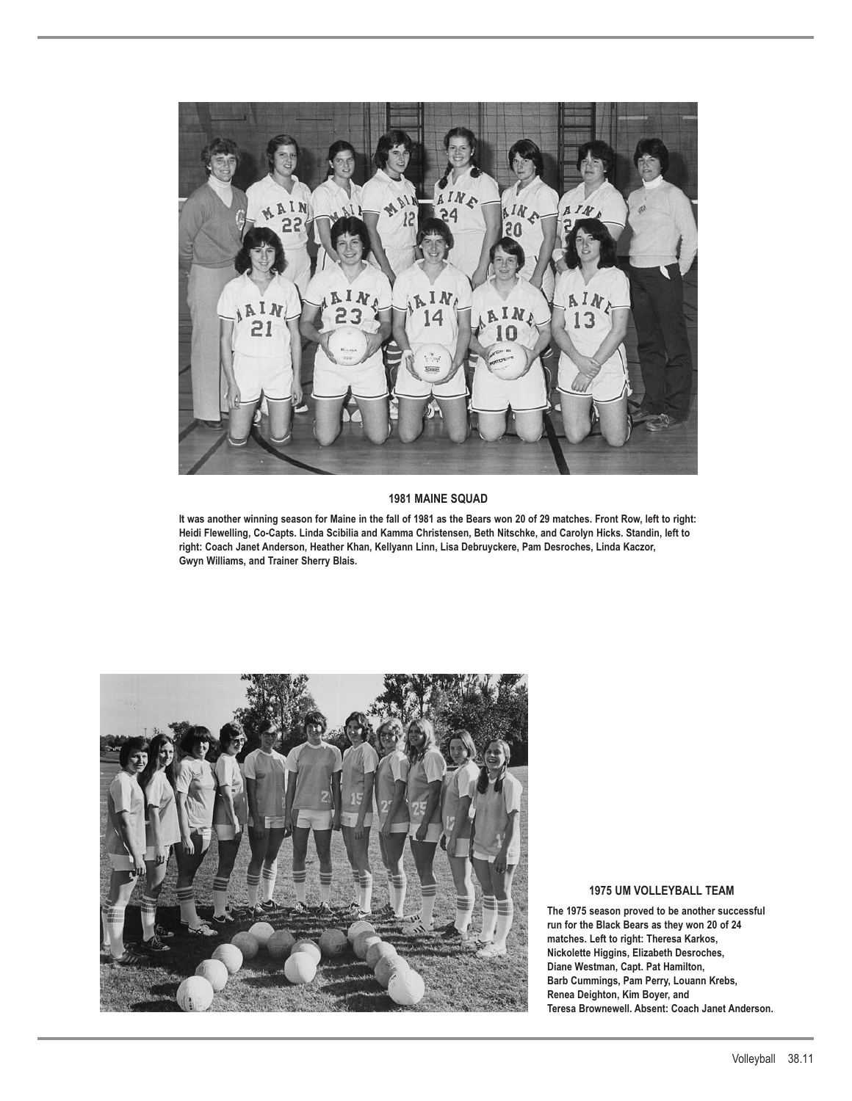

#### **1981 MAINE SQUAD**

**It was another winning season for Maine in the fall of 1981 as the Bears won 20 of 29 matches. Front Row, left to right: Heidi Flewelling, Co-Capts. Linda Scibilia and Kamma Christensen, Beth Nitschke, and Carolyn Hicks. Standin, left to right: Coach Janet Anderson, Heather Khan, Kellyann Linn, Lisa Debruyckere, Pam Desroches, Linda Kaczor, Gwyn Williams, and Trainer Sherry Blais.**



### **1975 UM VOLLEYBALL TEAM**

**The 1975 season proved to be another successful run for the Black Bears as they won 20 of 24 matches. Left to right: Theresa Karkos, Nickolette Higgins, Elizabeth Desroches, Diane Westman, Capt. Pat Hamilton, Barb Cummings, Pam Perry, Louann Krebs, Renea Deighton, Kim Boyer, and Teresa Brownewell. Absent: Coach Janet Anderson.**